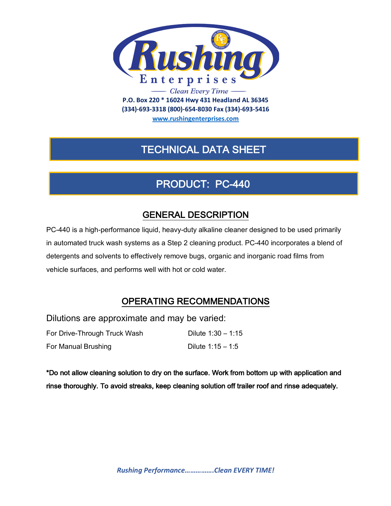

**(334)-693-3318 (800)-654-8030 Fax (334)-693-5416**

**www.rushingenterprises.com**

# TECHNICAL DATA SHEET

## PRODUCT: PC-440

### GENERAL DESCRIPTION

PC-440 is a high-performance liquid, heavy-duty alkaline cleaner designed to be used primarily in automated truck wash systems as a Step 2 cleaning product. PC-440 incorporates a blend of detergents and solvents to effectively remove bugs, organic and inorganic road films from vehicle surfaces, and performs well with hot or cold water.

### OPERATING RECOMMENDATIONS

Dilutions are approximate and may be varied:

For Drive-Through Truck Wash Dilute 1:30 – 1:15 For Manual Brushing Dilute 1:15 – 1:5

\*Do not allow cleaning solution to dry on the surface. Work from bottom up with application and rinse thoroughly. To avoid streaks, keep cleaning solution off trailer roof and rinse adequately.